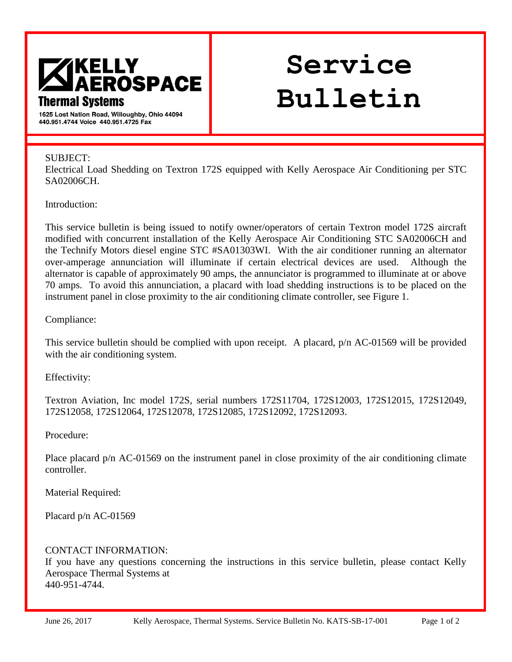

# **Service Bulletin**

**Bulletin No. Issue Date:** 

1625 Lost Nation Road, Willoughby, Ohio 44094 440.951.4744 Voice 440.951.4725 Fax

#### SUBJECT:

Electrical Load Shedding on Textron 172S equipped with Kelly Aerospace Air Conditioning per STC SA02006CH.

Introduction:

This service bulletin is being issued to notify owner/operators of certain Textron model 172S aircraft modified with concurrent installation of the Kelly Aerospace Air Conditioning STC SA02006CH and the Technify Motors diesel engine STC #SA01303WI. With the air conditioner running an alternator over-amperage annunciation will illuminate if certain electrical devices are used. Although the alternator is capable of approximately 90 amps, the annunciator is programmed to illuminate at or above 70 amps. To avoid this annunciation, a placard with load shedding instructions is to be placed on the instrument panel in close proximity to the air conditioning climate controller, see Figure 1.

### Compliance:

This service bulletin should be complied with upon receipt. A placard, p/n AC-01569 will be provided with the air conditioning system.

Effectivity:

Textron Aviation, Inc model 172S, serial numbers 172S11704, 172S12003, 172S12015, 172S12049, 172S12058, 172S12064, 172S12078, 172S12085, 172S12092, 172S12093.

Procedure:

Place placard p/n AC-01569 on the instrument panel in close proximity of the air conditioning climate controller.

Material Required:

Placard p/n AC-01569

### CONTACT INFORMATION:

If you have any questions concerning the instructions in this service bulletin, please contact Kelly Aerospace Thermal Systems at 440-951-4744.